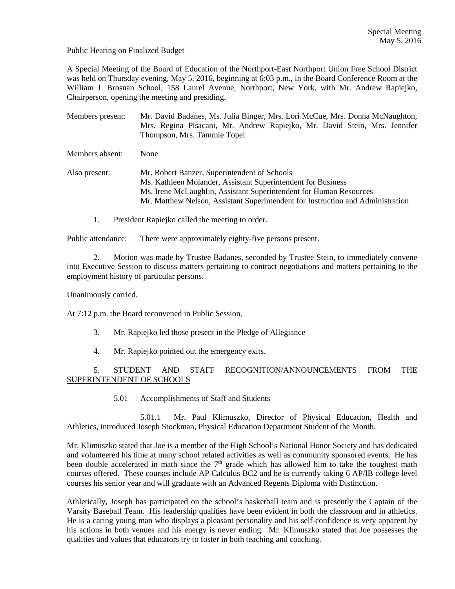### Public Hearing on Finalized Budget

A Special Meeting of the Board of Education of the Northport-East Northport Union Free School District was held on Thursday evening, May 5, 2016, beginning at 6:03 p.m., in the Board Conference Room at the William J. Brosnan School, 158 Laurel Avenue, Northport, New York, with Mr. Andrew Rapiejko, Chairperson, opening the meeting and presiding.

Members present: Mr. David Badanes, Ms. Julia Binger, Mrs. Lori McCue, Mrs. Donna McNaughton, Mrs. Regina Pisacani, Mr. Andrew Rapiejko, Mr. David Stein, Mrs. Jennifer Thompson, Mrs. Tammie Topel Members absent: None Also present: Mr. Robert Banzer, Superintendent of Schools Ms. Kathleen Molander, Assistant Superintendent for Business Ms. Irene McLaughlin, Assistant Superintendent for Human Resources Mr. Matthew Nelson, Assistant Superintendent for Instruction and Administration

1. President Rapiejko called the meeting to order.

Public attendance: There were approximately eighty-five persons present.

2. Motion was made by Trustee Badanes, seconded by Trustee Stein, to immediately convene into Executive Session to discuss matters pertaining to contract negotiations and matters pertaining to the employment history of particular persons.

Unanimously carried.

At 7:12 p.m. the Board reconvened in Public Session.

- 3. Mr. Rapiejko led those present in the Pledge of Allegiance
- 4. Mr. Rapiejko pointed out the emergency exits.

# 5. STUDENT AND STAFF RECOGNITION/ANNOUNCEMENTS FROM THE SUPERINTENDENT OF SCHOOLS

5.01 Accomplishments of Staff and Students

 5.01.1 Mr. Paul Klimuszko, Director of Physical Education, Health and Athletics, introduced Joseph Stockman, Physical Education Department Student of the Month.

Mr. Klimuszko stated that Joe is a member of the High School's National Honor Society and has dedicated and volunteered his time at many school related activities as well as community sponsored events. He has been double accelerated in math since the  $7<sup>th</sup>$  grade which has allowed him to take the toughest math courses offered. These courses include AP Calculus BC2 and he is currently taking 6 AP/IB college level courses his senior year and will graduate with an Advanced Regents Diploma with Distinction.

Athletically, Joseph has participated on the school's basketball team and is presently the Captain of the Varsity Baseball Team. His leadership qualities have been evident in both the classroom and in athletics. He is a caring young man who displays a pleasant personality and his self-confidence is very apparent by his actions in both venues and his energy is never ending. Mr. Klimuszko stated that Joe possesses the qualities and values that educators try to foster in both teaching and coaching.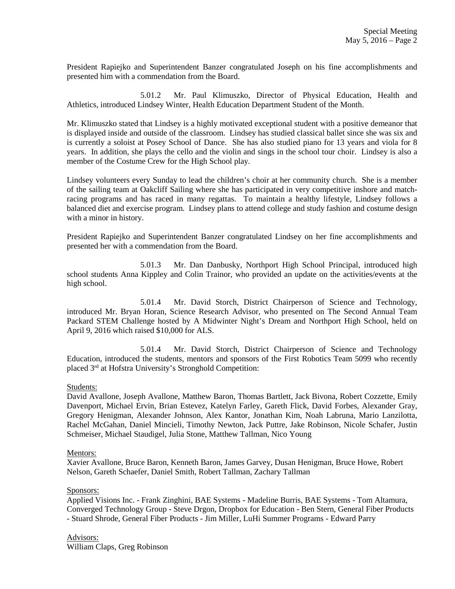President Rapiejko and Superintendent Banzer congratulated Joseph on his fine accomplishments and presented him with a commendation from the Board.

 5.01.2 Mr. Paul Klimuszko, Director of Physical Education, Health and Athletics, introduced Lindsey Winter, Health Education Department Student of the Month.

Mr. Klimuszko stated that Lindsey is a highly motivated exceptional student with a positive demeanor that is displayed inside and outside of the classroom. Lindsey has studied classical ballet since she was six and is currently a soloist at Posey School of Dance. She has also studied piano for 13 years and viola for 8 years. In addition, she plays the cello and the violin and sings in the school tour choir. Lindsey is also a member of the Costume Crew for the High School play.

Lindsey volunteers every Sunday to lead the children's choir at her community church. She is a member of the sailing team at Oakcliff Sailing where she has participated in very competitive inshore and matchracing programs and has raced in many regattas. To maintain a healthy lifestyle, Lindsey follows a balanced diet and exercise program. Lindsey plans to attend college and study fashion and costume design with a minor in history.

President Rapiejko and Superintendent Banzer congratulated Lindsey on her fine accomplishments and presented her with a commendation from the Board.

 5.01.3 Mr. Dan Danbusky, Northport High School Principal, introduced high school students Anna Kippley and Colin Trainor, who provided an update on the activities/events at the high school.

 5.01.4 Mr. David Storch, District Chairperson of Science and Technology, introduced Mr. Bryan Horan, Science Research Advisor, who presented on The Second Annual Team Packard STEM Challenge hosted by A Midwinter Night's Dream and Northport High School, held on April 9, 2016 which raised \$10,000 for ALS.

 5.01.4 Mr. David Storch, District Chairperson of Science and Technology Education, introduced the students, mentors and sponsors of the First Robotics Team 5099 who recently placed 3rd at Hofstra University's Stronghold Competition:

### Students:

David Avallone, Joseph Avallone, Matthew Baron, Thomas Bartlett, Jack Bivona, Robert Cozzette, Emily Davenport, Michael Ervin, Brian Estevez, Katelyn Farley, Gareth Flick, David Forbes, Alexander Gray, Gregory Henigman, Alexander Johnson, Alex Kantor, Jonathan Kim, Noah Labruna, Mario Lanzilotta, Rachel McGahan, Daniel Mincieli, Timothy Newton, Jack Puttre, Jake Robinson, Nicole Schafer, Justin Schmeiser, Michael Staudigel, Julia Stone, Matthew Tallman, Nico Young

### Mentors:

Xavier Avallone, Bruce Baron, Kenneth Baron, James Garvey, Dusan Henigman, Bruce Howe, Robert Nelson, Gareth Schaefer, Daniel Smith, Robert Tallman, Zachary Tallman

### Sponsors:

Applied Visions Inc. - Frank Zinghini, BAE Systems - Madeline Burris, BAE Systems - Tom Altamura, Converged Technology Group - Steve Drgon, Dropbox for Education - Ben Stern, General Fiber Products - Stuard Shrode, General Fiber Products - Jim Miller, LuHi Summer Programs - Edward Parry

Advisors: William Claps, Greg Robinson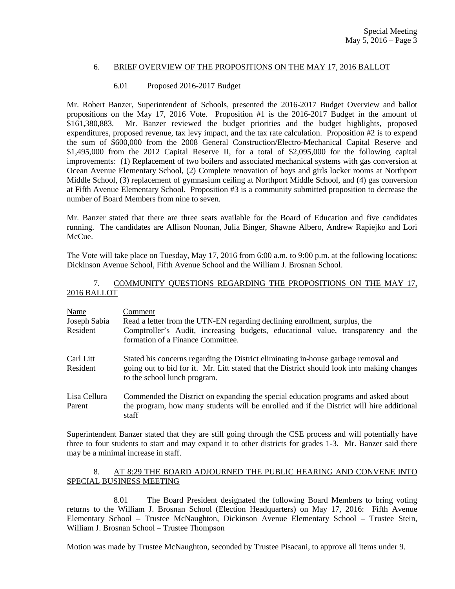# 6. BRIEF OVERVIEW OF THE PROPOSITIONS ON THE MAY 17, 2016 BALLOT

# 6.01 Proposed 2016-2017 Budget

Mr. Robert Banzer, Superintendent of Schools, presented the 2016-2017 Budget Overview and ballot propositions on the May 17, 2016 Vote. Proposition #1 is the 2016-2017 Budget in the amount of \$161,380,883. Mr. Banzer reviewed the budget priorities and the budget highlights, proposed expenditures, proposed revenue, tax levy impact, and the tax rate calculation. Proposition #2 is to expend the sum of \$600,000 from the 2008 General Construction/Electro-Mechanical Capital Reserve and \$1,495,000 from the 2012 Capital Reserve II, for a total of \$2,095,000 for the following capital improvements: (1) Replacement of two boilers and associated mechanical systems with gas conversion at Ocean Avenue Elementary School, (2) Complete renovation of boys and girls locker rooms at Northport Middle School, (3) replacement of gymnasium ceiling at Northport Middle School, and (4) gas conversion at Fifth Avenue Elementary School. Proposition #3 is a community submitted proposition to decrease the number of Board Members from nine to seven.

Mr. Banzer stated that there are three seats available for the Board of Education and five candidates running. The candidates are Allison Noonan, Julia Binger, Shawne Albero, Andrew Rapiejko and Lori McCue.

The Vote will take place on Tuesday, May 17, 2016 from 6:00 a.m. to 9:00 p.m. at the following locations: Dickinson Avenue School, Fifth Avenue School and the William J. Brosnan School.

## 7. COMMUNITY QUESTIONS REGARDING THE PROPOSITIONS ON THE MAY 17, 2016 BALLOT

| Name<br>Joseph Sabia<br>Resident | Comment<br>Read a letter from the UTN-EN regarding declining enrollment, surplus, the<br>Comptroller's Audit, increasing budgets, educational value, transparency and the<br>formation of a Finance Committee.    |  |
|----------------------------------|-------------------------------------------------------------------------------------------------------------------------------------------------------------------------------------------------------------------|--|
| Carl Litt<br>Resident            | Stated his concerns regarding the District eliminating in-house garbage removal and<br>going out to bid for it. Mr. Litt stated that the District should look into making changes<br>to the school lunch program. |  |
| Lisa Cellura<br>Parent           | Commended the District on expanding the special education programs and asked about<br>the program, how many students will be enrolled and if the District will hire additional<br>staff                           |  |

Superintendent Banzer stated that they are still going through the CSE process and will potentially have three to four students to start and may expand it to other districts for grades 1-3. Mr. Banzer said there may be a minimal increase in staff.

# 8. AT 8:29 THE BOARD ADJOURNED THE PUBLIC HEARING AND CONVENE INTO SPECIAL BUSINESS MEETING

 8.01 The Board President designated the following Board Members to bring voting returns to the William J. Brosnan School (Election Headquarters) on May 17, 2016: Fifth Avenue Elementary School – Trustee McNaughton, Dickinson Avenue Elementary School – Trustee Stein, William J. Brosnan School – Trustee Thompson

Motion was made by Trustee McNaughton, seconded by Trustee Pisacani, to approve all items under 9.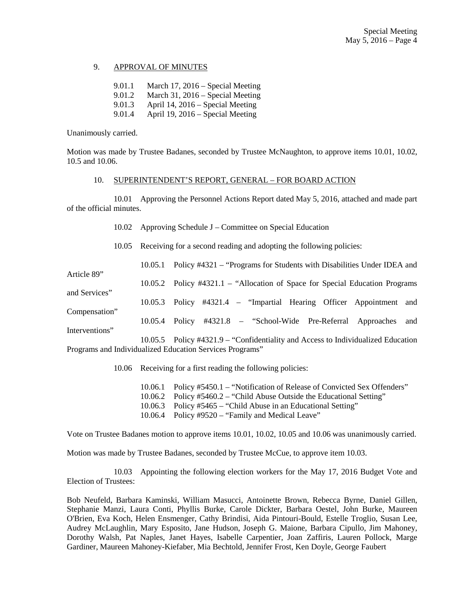## 9. APPROVAL OF MINUTES

| 9.01.1 | March 17, $2016$ – Special Meeting |
|--------|------------------------------------|
| 9.01.2 | March 31, $2016$ – Special Meeting |
| 9.01.3 | April 14, 2016 – Special Meeting   |
| 9.01.4 | April 19, 2016 – Special Meeting   |

Unanimously carried.

and Services"

Interventions"

Motion was made by Trustee Badanes, seconded by Trustee McNaughton, to approve items 10.01, 10.02, 10.5 and 10.06.

## 10. SUPERINTENDENT'S REPORT, GENERAL – FOR BOARD ACTION

 10.01 Approving the Personnel Actions Report dated May 5, 2016, attached and made part of the official minutes.

10.02 Approving Schedule J – Committee on Special Education

10.05 Receiving for a second reading and adopting the following policies:

 10.05.1 Policy #4321 – "Programs for Students with Disabilities Under IDEA and Article 89"

10.05.2 Policy #4321.1 – "Allocation of Space for Special Education Programs

10.05.3 Policy #4321.4 – "Impartial Hearing Officer Appointment and

Compensation" 10.05.4 Policy #4321.8 – "School-Wide Pre-Referral Approaches and

 10.05.5 Policy #4321.9 – "Confidentiality and Access to Individualized Education Programs and Individualized Education Services Programs"

10.06 Receiving for a first reading the following policies:

 10.06.1 Policy #5450.1 – "Notification of Release of Convicted Sex Offenders" 10.06.2 Policy #5460.2 – "Child Abuse Outside the Educational Setting" 10.06.3 Policy #5465 – "Child Abuse in an Educational Setting" 10.06.4 Policy #9520 – "Family and Medical Leave"

Vote on Trustee Badanes motion to approve items 10.01, 10.02, 10.05 and 10.06 was unanimously carried.

Motion was made by Trustee Badanes, seconded by Trustee McCue, to approve item 10.03.

 10.03 Appointing the following election workers for the May 17, 2016 Budget Vote and Election of Trustees:

Bob Neufeld, Barbara Kaminski, William Masucci, Antoinette Brown, Rebecca Byrne, Daniel Gillen, Stephanie Manzi, Laura Conti, Phyllis Burke, Carole Dickter, Barbara Oestel, John Burke, Maureen O'Brien, Eva Koch, Helen Ensmenger, Cathy Brindisi, Aida Pintouri-Bould, Estelle Troglio, Susan Lee, Audrey McLaughlin, Mary Esposito, Jane Hudson, Joseph G. Maione, Barbara Cipullo, Jim Mahoney, Dorothy Walsh, Pat Naples, Janet Hayes, Isabelle Carpentier, Joan Zaffiris, Lauren Pollock, Marge Gardiner, Maureen Mahoney-Kiefaber, Mia Bechtold, Jennifer Frost, Ken Doyle, George Faubert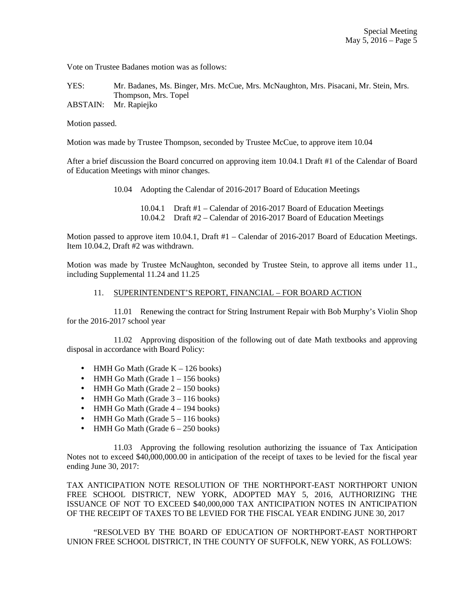Vote on Trustee Badanes motion was as follows:

YES: Mr. Badanes, Ms. Binger, Mrs. McCue, Mrs. McNaughton, Mrs. Pisacani, Mr. Stein, Mrs. Thompson, Mrs. Topel

ABSTAIN: Mr. Rapiejko

Motion passed.

Motion was made by Trustee Thompson, seconded by Trustee McCue, to approve item 10.04

After a brief discussion the Board concurred on approving item 10.04.1 Draft #1 of the Calendar of Board of Education Meetings with minor changes.

10.04 Adopting the Calendar of 2016-2017 Board of Education Meetings

 10.04.1 Draft #1 – Calendar of 2016-2017 Board of Education Meetings 10.04.2 Draft #2 – Calendar of 2016-2017 Board of Education Meetings

Motion passed to approve item 10.04.1, Draft #1 – Calendar of 2016-2017 Board of Education Meetings. Item 10.04.2, Draft #2 was withdrawn.

Motion was made by Trustee McNaughton, seconded by Trustee Stein, to approve all items under 11., including Supplemental 11.24 and 11.25

## 11. SUPERINTENDENT'S REPORT, FINANCIAL – FOR BOARD ACTION

 11.01 Renewing the contract for String Instrument Repair with Bob Murphy's Violin Shop for the 2016-2017 school year

 11.02 Approving disposition of the following out of date Math textbooks and approving disposal in accordance with Board Policy:

- HMH Go Math (Grade  $K 126$  books)
- HMH Go Math (Grade  $1 156$  books)
- HMH Go Math (Grade  $2 150$  books)
- HMH Go Math (Grade  $3 116$  books)
- HMH Go Math (Grade  $4 194$  books)
- HMH Go Math (Grade  $5 116$  books)
- HMH Go Math (Grade  $6 250$  books)

 11.03 Approving the following resolution authorizing the issuance of Tax Anticipation Notes not to exceed \$40,000,000.00 in anticipation of the receipt of taxes to be levied for the fiscal year ending June 30, 2017:

TAX ANTICIPATION NOTE RESOLUTION OF THE NORTHPORT-EAST NORTHPORT UNION FREE SCHOOL DISTRICT, NEW YORK, ADOPTED MAY 5, 2016, AUTHORIZING THE ISSUANCE OF NOT TO EXCEED \$40,000,000 TAX ANTICIPATION NOTES IN ANTICIPATION OF THE RECEIPT OF TAXES TO BE LEVIED FOR THE FISCAL YEAR ENDING JUNE 30, 2017

 "RESOLVED BY THE BOARD OF EDUCATION OF NORTHPORT-EAST NORTHPORT UNION FREE SCHOOL DISTRICT, IN THE COUNTY OF SUFFOLK, NEW YORK, AS FOLLOWS: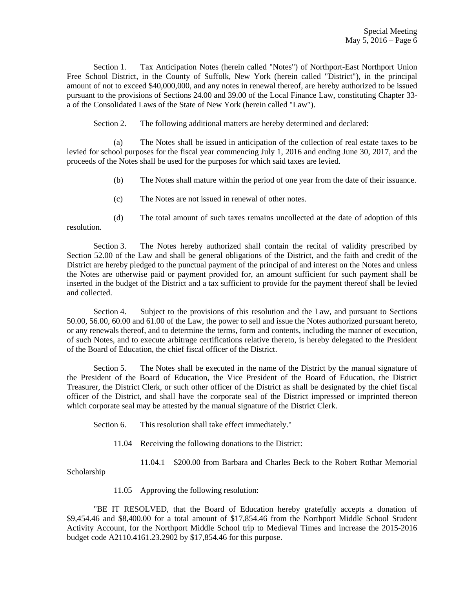Section 1. Tax Anticipation Notes (herein called "Notes") of Northport-East Northport Union Free School District, in the County of Suffolk, New York (herein called "District"), in the principal amount of not to exceed \$40,000,000, and any notes in renewal thereof, are hereby authorized to be issued pursuant to the provisions of Sections 24.00 and 39.00 of the Local Finance Law, constituting Chapter 33 a of the Consolidated Laws of the State of New York (herein called "Law").

Section 2. The following additional matters are hereby determined and declared:

(a) The Notes shall be issued in anticipation of the collection of real estate taxes to be levied for school purposes for the fiscal year commencing July 1, 2016 and ending June 30, 2017, and the proceeds of the Notes shall be used for the purposes for which said taxes are levied.

(b) The Notes shall mature within the period of one year from the date of their issuance.

(c) The Notes are not issued in renewal of other notes.

(d) The total amount of such taxes remains uncollected at the date of adoption of this resolution.

 Section 3. The Notes hereby authorized shall contain the recital of validity prescribed by Section 52.00 of the Law and shall be general obligations of the District, and the faith and credit of the District are hereby pledged to the punctual payment of the principal of and interest on the Notes and unless the Notes are otherwise paid or payment provided for, an amount sufficient for such payment shall be inserted in the budget of the District and a tax sufficient to provide for the payment thereof shall be levied and collected.

 Section 4. Subject to the provisions of this resolution and the Law, and pursuant to Sections 50.00, 56.00, 60.00 and 61.00 of the Law, the power to sell and issue the Notes authorized pursuant hereto, or any renewals thereof, and to determine the terms, form and contents, including the manner of execution, of such Notes, and to execute arbitrage certifications relative thereto, is hereby delegated to the President of the Board of Education, the chief fiscal officer of the District.

 Section 5. The Notes shall be executed in the name of the District by the manual signature of the President of the Board of Education, the Vice President of the Board of Education, the District Treasurer, the District Clerk, or such other officer of the District as shall be designated by the chief fiscal officer of the District, and shall have the corporate seal of the District impressed or imprinted thereon which corporate seal may be attested by the manual signature of the District Clerk.

Section 6. This resolution shall take effect immediately."

11.04 Receiving the following donations to the District:

11.04.1 \$200.00 from Barbara and Charles Beck to the Robert Rothar Memorial

Scholarship

11.05 Approving the following resolution:

 "BE IT RESOLVED, that the Board of Education hereby gratefully accepts a donation of \$9,454.46 and \$8,400.00 for a total amount of \$17,854.46 from the Northport Middle School Student Activity Account, for the Northport Middle School trip to Medieval Times and increase the 2015-2016 budget code A2110.4161.23.2902 by \$17,854.46 for this purpose.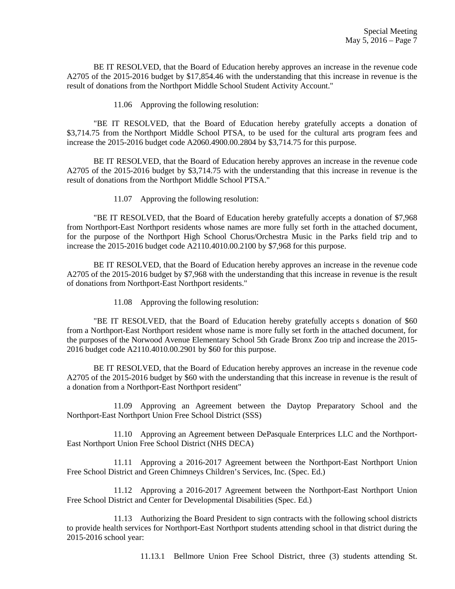BE IT RESOLVED, that the Board of Education hereby approves an increase in the revenue code A2705 of the 2015-2016 budget by \$17,854.46 with the understanding that this increase in revenue is the result of donations from the Northport Middle School Student Activity Account."

11.06 Approving the following resolution:

 "BE IT RESOLVED, that the Board of Education hereby gratefully accepts a donation of \$3,714.75 from the Northport Middle School PTSA, to be used for the cultural arts program fees and increase the 2015-2016 budget code A2060.4900.00.2804 by \$3,714.75 for this purpose.

 BE IT RESOLVED, that the Board of Education hereby approves an increase in the revenue code A2705 of the 2015-2016 budget by \$3,714.75 with the understanding that this increase in revenue is the result of donations from the Northport Middle School PTSA."

11.07 Approving the following resolution:

 "BE IT RESOLVED, that the Board of Education hereby gratefully accepts a donation of \$7,968 from Northport-East Northport residents whose names are more fully set forth in the attached document, for the purpose of the Northport High School Chorus/Orchestra Music in the Parks field trip and to increase the 2015-2016 budget code A2110.4010.00.2100 by \$7,968 for this purpose.

 BE IT RESOLVED, that the Board of Education hereby approves an increase in the revenue code A2705 of the 2015-2016 budget by \$7,968 with the understanding that this increase in revenue is the result of donations from Northport-East Northport residents."

11.08 Approving the following resolution:

 "BE IT RESOLVED, that the Board of Education hereby gratefully accepts s donation of \$60 from a Northport-East Northport resident whose name is more fully set forth in the attached document, for the purposes of the Norwood Avenue Elementary School 5th Grade Bronx Zoo trip and increase the 2015- 2016 budget code A2110.4010.00.2901 by \$60 for this purpose.

 BE IT RESOLVED, that the Board of Education hereby approves an increase in the revenue code A2705 of the 2015-2016 budget by \$60 with the understanding that this increase in revenue is the result of a donation from a Northport-East Northport resident"

 11.09 Approving an Agreement between the Daytop Preparatory School and the Northport-East Northport Union Free School District (SSS)

 11.10 Approving an Agreement between DePasquale Enterprices LLC and the Northport-East Northport Union Free School District (NHS DECA)

 11.11 Approving a 2016-2017 Agreement between the Northport-East Northport Union Free School District and Green Chimneys Children's Services, Inc. (Spec. Ed.)

 11.12 Approving a 2016-2017 Agreement between the Northport-East Northport Union Free School District and Center for Developmental Disabilities (Spec. Ed.)

 11.13 Authorizing the Board President to sign contracts with the following school districts to provide health services for Northport-East Northport students attending school in that district during the 2015-2016 school year:

11.13.1 Bellmore Union Free School District, three (3) students attending St.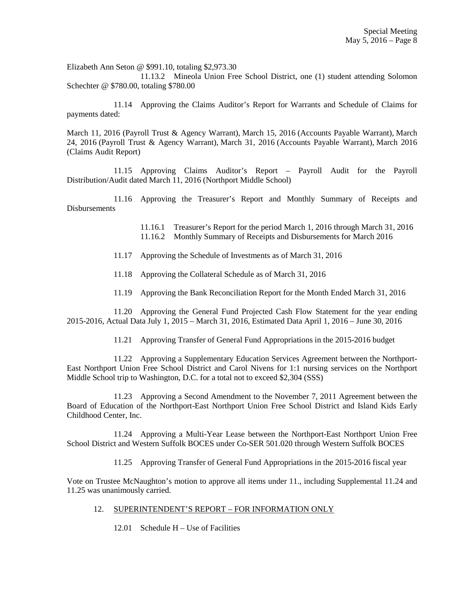Elizabeth Ann Seton @ \$991.10, totaling \$2,973.30

 11.13.2 Mineola Union Free School District, one (1) student attending Solomon Schechter @ \$780.00, totaling \$780.00

 11.14 Approving the Claims Auditor's Report for Warrants and Schedule of Claims for payments dated:

March 11, 2016 (Payroll Trust & Agency Warrant), March 15, 2016 (Accounts Payable Warrant), March 24, 2016 (Payroll Trust & Agency Warrant), March 31, 2016 (Accounts Payable Warrant), March 2016 (Claims Audit Report)

 11.15 Approving Claims Auditor's Report – Payroll Audit for the Payroll Distribution/Audit dated March 11, 2016 (Northport Middle School)

 11.16 Approving the Treasurer's Report and Monthly Summary of Receipts and Disbursements

> 11.16.1 Treasurer's Report for the period March 1, 2016 through March 31, 2016 11.16.2 Monthly Summary of Receipts and Disbursements for March 2016

- 11.17 Approving the Schedule of Investments as of March 31, 2016
- 11.18 Approving the Collateral Schedule as of March 31, 2016
- 11.19 Approving the Bank Reconciliation Report for the Month Ended March 31, 2016

 11.20 Approving the General Fund Projected Cash Flow Statement for the year ending 2015-2016, Actual Data July 1, 2015 – March 31, 2016, Estimated Data April 1, 2016 – June 30, 2016

11.21 Approving Transfer of General Fund Appropriations in the 2015-2016 budget

 11.22 Approving a Supplementary Education Services Agreement between the Northport-East Northport Union Free School District and Carol Nivens for 1:1 nursing services on the Northport Middle School trip to Washington, D.C. for a total not to exceed \$2,304 (SSS)

 11.23 Approving a Second Amendment to the November 7, 2011 Agreement between the Board of Education of the Northport-East Northport Union Free School District and Island Kids Early Childhood Center, Inc.

 11.24 Approving a Multi-Year Lease between the Northport-East Northport Union Free School District and Western Suffolk BOCES under Co-SER 501.020 through Western Suffolk BOCES

11.25 Approving Transfer of General Fund Appropriations in the 2015-2016 fiscal year

Vote on Trustee McNaughton's motion to approve all items under 11., including Supplemental 11.24 and 11.25 was unanimously carried.

### 12. SUPERINTENDENT'S REPORT – FOR INFORMATION ONLY

12.01 Schedule H – Use of Facilities